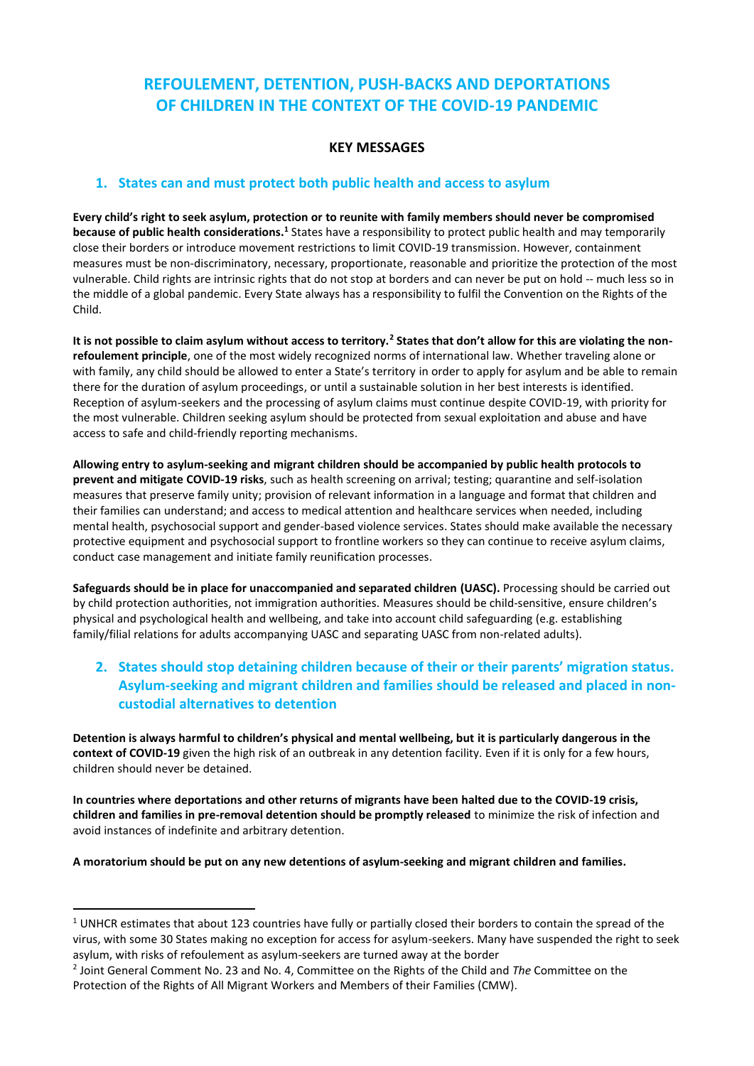# **REFOULEMENT, DETENTION, PUSH-BACKS AND DEPORTATIONS OF CHILDREN IN THE CONTEXT OF THE COVID-19 PANDEMIC**

#### **KEY MESSAGES**

#### **1. States can and must protect both public health and access to asylum**

**Every child's right to seek asylum, protection or to reunite with family members should never be compromised because of public health considerations.<sup>1</sup>** States have a responsibility to protect public health and may temporarily close their borders or introduce movement restrictions to limit COVID-19 transmission. However, containment measures must be non-discriminatory, necessary, proportionate, reasonable and prioritize the protection of the most vulnerable. Child rights are intrinsic rights that do not stop at borders and can never be put on hold -- much less so in the middle of a global pandemic. Every State always has a responsibility to fulfil the Convention on the Rights of the Child.

**It is not possible to claim asylum without access to territory.<sup>2</sup> States that don't allow for this are violating the nonrefoulement principle**, one of the most widely recognized norms of international law. Whether traveling alone or with family, any child should be allowed to enter a State's territory in order to apply for asylum and be able to remain there for the duration of asylum proceedings, or until a sustainable solution in her best interests is identified. Reception of asylum-seekers and the processing of asylum claims must continue despite COVID-19, with priority for the most vulnerable. Children seeking asylum should be protected from sexual exploitation and abuse and have access to safe and child-friendly reporting mechanisms.

**Allowing entry to asylum-seeking and migrant children should be accompanied by public health protocols to prevent and mitigate COVID-19 risks**, such as health screening on arrival; testing; quarantine and self-isolation measures that preserve family unity; provision of relevant information in a language and format that children and their families can understand; and access to medical attention and healthcare services when needed, including mental health, psychosocial support and gender-based violence services. States should make available the necessary protective equipment and psychosocial support to frontline workers so they can continue to receive asylum claims, conduct case management and initiate family reunification processes.

**Safeguards should be in place for unaccompanied and separated children (UASC).** Processing should be carried out by child protection authorities, not immigration authorities. Measures should be child-sensitive, ensure children's physical and psychological health and wellbeing, and take into account child safeguarding (e.g. establishing family/filial relations for adults accompanying UASC and separating UASC from non-related adults).

### **2. States should stop detaining children because of their or their parents' migration status. Asylum-seeking and migrant children and families should be released and placed in noncustodial alternatives to detention**

**Detention is always harmful to children's physical and mental wellbeing, but it is particularly dangerous in the context of COVID-19** given the high risk of an outbreak in any detention facility. Even if it is only for a few hours, children should never be detained.

**In countries where deportations and other returns of migrants have been halted due to the COVID-19 crisis, children and families in pre-removal detention should be promptly released** to minimize the risk of infection and avoid instances of indefinite and arbitrary detention.

**A moratorium should be put on any new detentions of asylum-seeking and migrant children and families.**

 $1$  UNHCR estimates that about 123 countries have fully or partially closed their borders to contain the spread of the virus, with some 30 States making no exception for access for asylum-seekers. Many have suspended the right to seek asylum, with risks of refoulement as asylum-seekers are turned away at the border

<sup>2</sup> Joint General Comment No. 23 and No. 4, Committee on the Rights of the Child and *The* Committee on the Protection of the Rights of All Migrant Workers and Members of their Families (CMW).